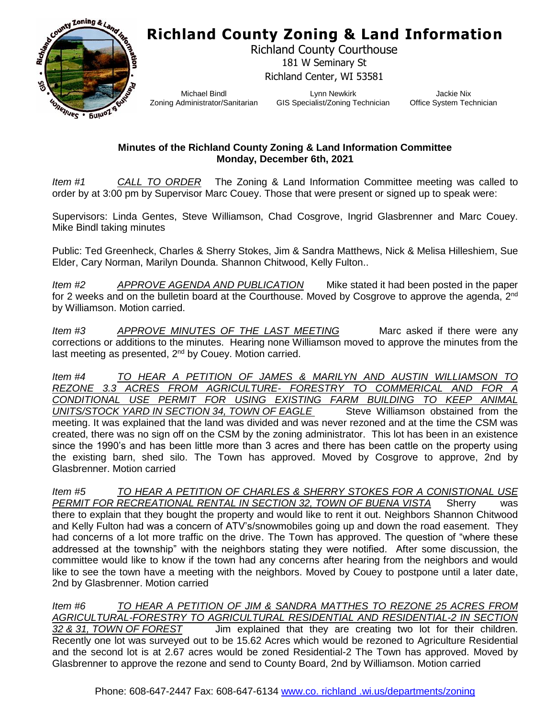## **Richland County Zoning & Land Information**



Richland County Courthouse 181 W Seminary St Richland Center, WI 53581

Michael Bindl Zoning Administrator/Sanitarian

Lynn Newkirk GIS Specialist/Zoning Technician

Jackie Nix Office System Technician

## **Minutes of the Richland County Zoning & Land Information Committee Monday, December 6th, 2021**

*Item #1 CALL TO ORDER* The Zoning & Land Information Committee meeting was called to order by at 3:00 pm by Supervisor Marc Couey. Those that were present or signed up to speak were:

Supervisors: Linda Gentes, Steve Williamson, Chad Cosgrove, Ingrid Glasbrenner and Marc Couey. Mike Bindl taking minutes

Public: Ted Greenheck, Charles & Sherry Stokes, Jim & Sandra Matthews, Nick & Melisa Hilleshiem, Sue Elder, Cary Norman, Marilyn Dounda. Shannon Chitwood, Kelly Fulton..

*Item #2 APPROVE AGENDA AND PUBLICATION* Mike stated it had been posted in the paper for 2 weeks and on the bulletin board at the Courthouse. Moved by Cosgrove to approve the agenda, 2<sup>nd</sup> by Williamson. Motion carried.

*Item #3 APPROVE MINUTES OF THE LAST MEETING* Marc asked if there were any corrections or additions to the minutes. Hearing none Williamson moved to approve the minutes from the last meeting as presented, 2<sup>nd</sup> by Couey. Motion carried.

*Item #4 TO HEAR A PETITION OF JAMES & MARILYN AND AUSTIN WILLIAMSON TO REZONE 3.3 ACRES FROM AGRICULTURE- FORESTRY TO COMMERICAL AND FOR A CONDITIONAL USE PERMIT FOR USING EXISTING FARM BUILDING TO KEEP ANIMAL UNITS/STOCK YARD IN SECTION 34, TOWN OF EAGLE* Steve Williamson obstained from the meeting. It was explained that the land was divided and was never rezoned and at the time the CSM was created, there was no sign off on the CSM by the zoning administrator. This lot has been in an existence since the 1990's and has been little more than 3 acres and there has been cattle on the property using the existing barn, shed silo. The Town has approved. Moved by Cosgrove to approve, 2nd by Glasbrenner. Motion carried

*Item #5 TO HEAR A PETITION OF CHARLES & SHERRY STOKES FOR A CONISTIONAL USE PERMIT FOR RECREATIONAL RENTAL IN SECTION 32, TOWN OF BUENA VISTA* Sherry was there to explain that they bought the property and would like to rent it out. Neighbors Shannon Chitwood and Kelly Fulton had was a concern of ATV's/snowmobiles going up and down the road easement. They had concerns of a lot more traffic on the drive. The Town has approved. The question of "where these addressed at the township" with the neighbors stating they were notified. After some discussion, the committee would like to know if the town had any concerns after hearing from the neighbors and would like to see the town have a meeting with the neighbors. Moved by Couey to postpone until a later date, 2nd by Glasbrenner. Motion carried

*Item #6 TO HEAR A PETITION OF JIM & SANDRA MATTHES TO REZONE 25 ACRES FROM AGRICULTURAL-FORESTRY TO AGRICULTURAL RESIDENTIAL AND RESIDENTIAL-2 IN SECTION 32 & 31, TOWN OF FOREST* Jim explained that they are creating two lot for their children. Recently one lot was surveyed out to be 15.62 Acres which would be rezoned to Agriculture Residential and the second lot is at 2.67 acres would be zoned Residential-2 The Town has approved. Moved by Glasbrenner to approve the rezone and send to County Board, 2nd by Williamson. Motion carried